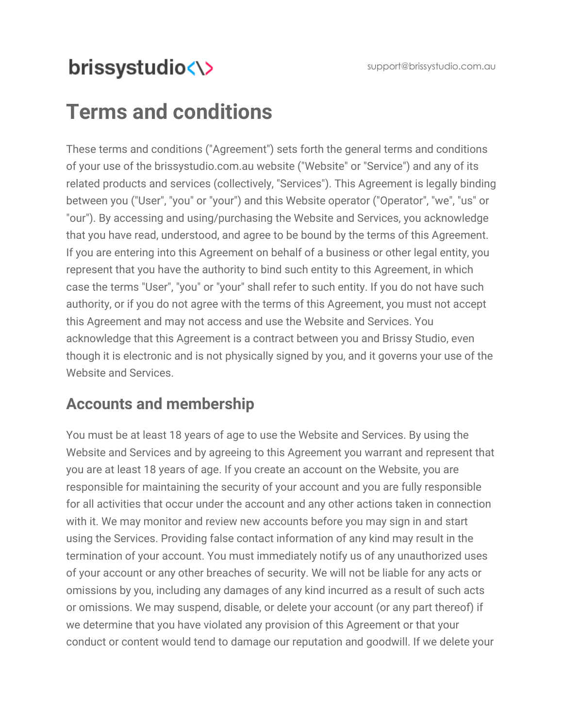support@brissystudio.com.au

# brissystudio<\>

# **Terms and conditions**

These terms and conditions ("Agreement") sets forth the general terms and conditions of your use of the [brissystudio.com.au](http://www.brissystudio.com.au/) website ("Website" or "Service") and any of its related products and services (collectively, "Services"). This Agreement is legally binding between you ("User", "you" or "your") and this Website operator ("Operator", "we", "us" or "our"). By accessing and using/purchasing the Website and Services, you acknowledge that you have read, understood, and agree to be bound by the terms of this Agreement. If you are entering into this Agreement on behalf of a business or other legal entity, you represent that you have the authority to bind such entity to this Agreement, in which case the terms "User", "you" or "your" shall refer to such entity. If you do not have such authority, or if you do not agree with the terms of this Agreement, you must not accept this Agreement and may not access and use the Website and Services. You acknowledge that this Agreement is a contract between you and Brissy Studio, even though it is electronic and is not physically signed by you, and it governs your use of the Website and Services.

### **Accounts and membership**

You must be at least 18 years of age to use the Website and Services. By using the Website and Services and by agreeing to this Agreement you warrant and represent that you are at least 18 years of age. If you create an account on the Website, you are responsible for maintaining the security of your account and you are fully responsible for all activities that occur under the account and any other actions taken in connection with it. We may monitor and review new accounts before you may sign in and start using the Services. Providing false contact information of any kind may result in the termination of your account. You must immediately notify us of any unauthorized uses of your account or any other breaches of security. We will not be liable for any acts or omissions by you, including any damages of any kind incurred as a result of such acts or omissions. We may suspend, disable, or delete your account (or any part thereof) if we determine that you have violated any provision of this Agreement or that your conduct or content would tend to damage our reputation and goodwill. If we delete your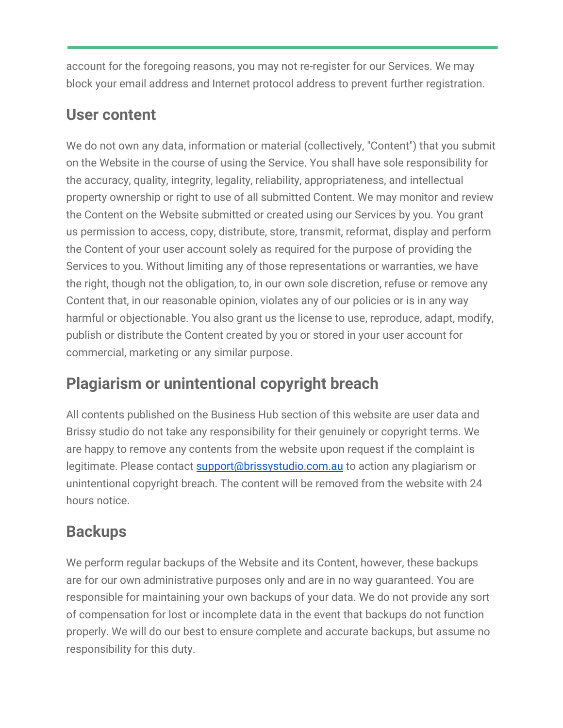account for the foregoing reasons, you may not re-register for our Services. We may block your email address and Internet protocol address to prevent further registration.

#### **User content**

We do not own any data, information or material (collectively, "Content") that you submit on the Website in the course of using the Service. You shall have sole responsibility for the accuracy, quality, integrity, legality, reliability, appropriateness, and intellectual property ownership or right to use of all submitted Content. We may monitor and review the Content on the Website submitted or created using our Services by you. You grant us permission to access, copy, distribute, store, transmit, reformat, display and perform the Content of your user account solely as required for the purpose of providing the Services to you. Without limiting any of those representations or warranties, we have the right, though not the obligation, to, in our own sole discretion, refuse or remove any Content that, in our reasonable opinion, violates any of our policies or is in any way harmful or objectionable. You also grant us the license to use, reproduce, adapt, modify, publish or distribute the Content created by you or stored in your user account for commercial, marketing or any similar purpose.

### **Plagiarism or unintentional copyright breach**

All contents published on the Business Hub section of this website are user data and Brissy studio do not take any responsibility for their genuinely or copyright terms. We are happy to remove any contents from the website upon request if the complaint is legitimate. Please contact [support@brissystudio.com.au](mailto:support@brissystudio.com.au) to action any plagiarism or unintentional copyright breach. The content will be removed from the website with 24 hours notice.

### **Backups**

We perform regular backups of the Website and its Content, however, these backups are for our own administrative purposes only and are in no way guaranteed. You are responsible for maintaining your own backups of your data. We do not provide any sort of compensation for lost or incomplete data in the event that backups do not function properly. We will do our best to ensure complete and accurate backups, but assume no responsibility for this duty.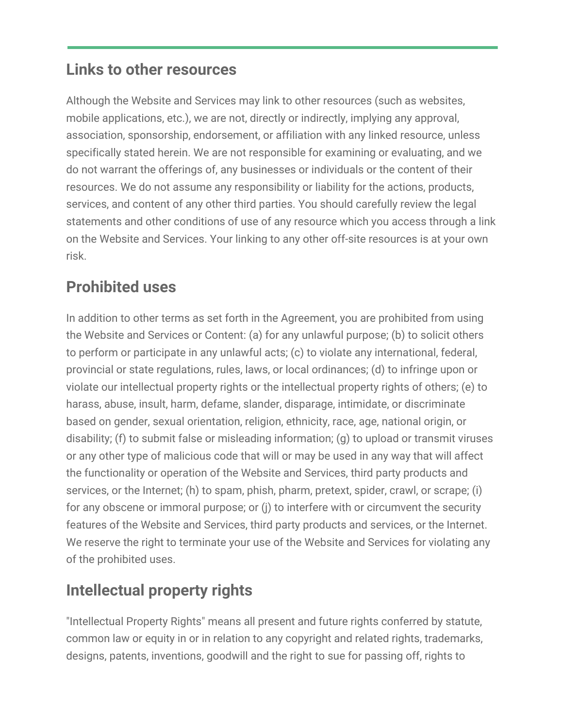#### **Links to other resources**

Although the Website and Services may link to other resources (such as websites, mobile applications, etc.), we are not, directly or indirectly, implying any approval, association, sponsorship, endorsement, or affiliation with any linked resource, unless specifically stated herein. We are not responsible for examining or evaluating, and we do not warrant the offerings of, any businesses or individuals or the content of their resources. We do not assume any responsibility or liability for the actions, products, services, and content of any other third parties. You should carefully review the legal statements and other conditions of use of any resource which you access through a link on the Website and Services. Your linking to any other off-site resources is at your own risk.

### **Prohibited uses**

In addition to other terms as set forth in the Agreement, you are prohibited from using the Website and Services or Content: (a) for any unlawful purpose; (b) to solicit others to perform or participate in any unlawful acts; (c) to violate any international, federal, provincial or state regulations, rules, laws, or local ordinances; (d) to infringe upon or violate our intellectual property rights or the intellectual property rights of others; (e) to harass, abuse, insult, harm, defame, slander, disparage, intimidate, or discriminate based on gender, sexual orientation, religion, ethnicity, race, age, national origin, or disability; (f) to submit false or misleading information; (g) to upload or transmit viruses or any other type of malicious code that will or may be used in any way that will affect the functionality or operation of the Website and Services, third party products and services, or the Internet; (h) to spam, phish, pharm, pretext, spider, crawl, or scrape; (i) for any obscene or immoral purpose; or (j) to interfere with or circumvent the security features of the Website and Services, third party products and services, or the Internet. We reserve the right to terminate your use of the Website and Services for violating any of the prohibited uses.

## **Intellectual property rights**

"Intellectual Property Rights" means all present and future rights conferred by statute, common law or equity in or in relation to any copyright and related rights, trademarks, designs, patents, inventions, goodwill and the right to sue for passing off, rights to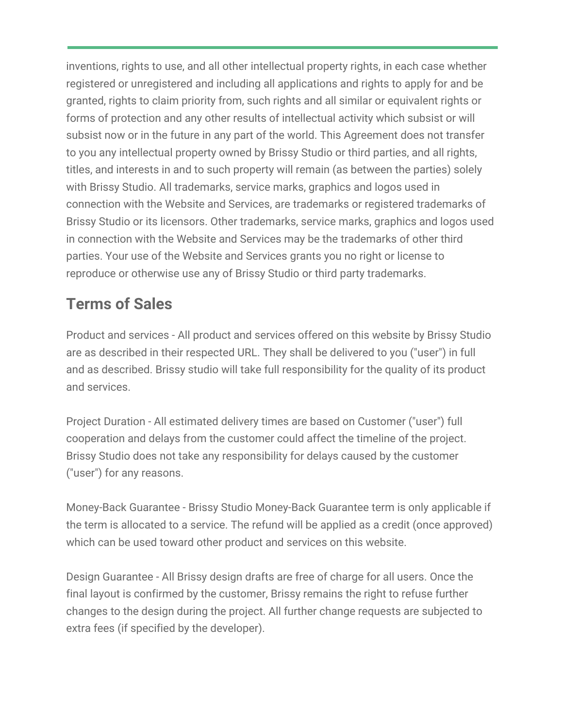inventions, rights to use, and all other intellectual property rights, in each case whether registered or unregistered and including all applications and rights to apply for and be granted, rights to claim priority from, such rights and all similar or equivalent rights or forms of protection and any other results of intellectual activity which subsist or will subsist now or in the future in any part of the world. This Agreement does not transfer to you any intellectual property owned by Brissy Studio or third parties, and all rights, titles, and interests in and to such property will remain (as between the parties) solely with Brissy Studio. All trademarks, service marks, graphics and logos used in connection with the Website and Services, are trademarks or registered trademarks of Brissy Studio or its licensors. Other trademarks, service marks, graphics and logos used in connection with the Website and Services may be the trademarks of other third parties. Your use of the Website and Services grants you no right or license to reproduce or otherwise use any of Brissy Studio or third party trademarks.

## **Terms of Sales**

Product and services - All product and services offered on this website by Brissy Studio are as described in their respected URL. They shall be delivered to you ("user") in full and as described. Brissy studio will take full responsibility for the quality of its product and services.

Project Duration - All estimated delivery times are based on Customer ("user") full cooperation and delays from the customer could affect the timeline of the project. Brissy Studio does not take any responsibility for delays caused by the customer ("user") for any reasons.

Money-Back Guarantee - Brissy Studio Money-Back Guarantee term is only applicable if the term is allocated to a service. The refund will be applied as a credit (once approved) which can be used toward other product and services on this website.

Design Guarantee - All Brissy design drafts are free of charge for all users. Once the final layout is confirmed by the customer, Brissy remains the right to refuse further changes to the design during the project. All further change requests are subjected to extra fees (if specified by the developer).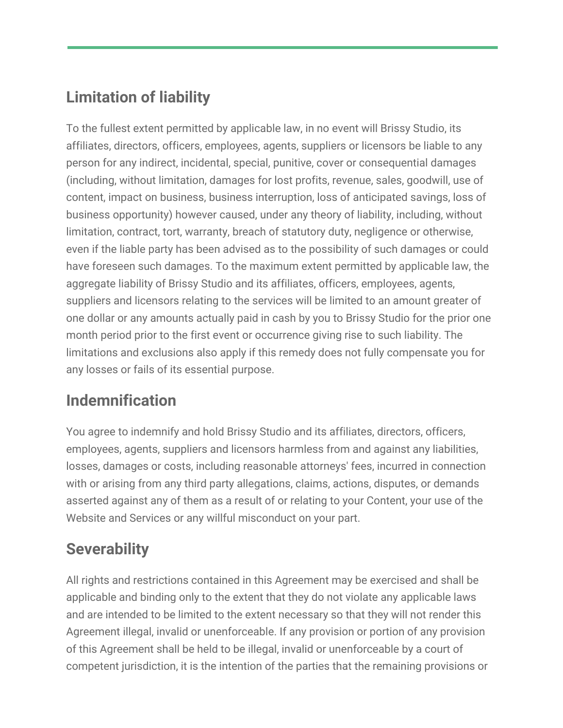## **Limitation of liability**

To the fullest extent permitted by applicable law, in no event will Brissy Studio, its affiliates, directors, officers, employees, agents, suppliers or licensors be liable to any person for any indirect, incidental, special, punitive, cover or consequential damages (including, without limitation, damages for lost profits, revenue, sales, goodwill, use of content, impact on business, business interruption, loss of anticipated savings, loss of business opportunity) however caused, under any theory of liability, including, without limitation, contract, tort, warranty, breach of statutory duty, negligence or otherwise, even if the liable party has been advised as to the possibility of such damages or could have foreseen such damages. To the maximum extent permitted by applicable law, the aggregate liability of Brissy Studio and its affiliates, officers, employees, agents, suppliers and licensors relating to the services will be limited to an amount greater of one dollar or any amounts actually paid in cash by you to Brissy Studio for the prior one month period prior to the first event or occurrence giving rise to such liability. The limitations and exclusions also apply if this remedy does not fully compensate you for any losses or fails of its essential purpose.

### **Indemnification**

You agree to indemnify and hold Brissy Studio and its affiliates, directors, officers, employees, agents, suppliers and licensors harmless from and against any liabilities, losses, damages or costs, including reasonable attorneys' fees, incurred in connection with or arising from any third party allegations, claims, actions, disputes, or demands asserted against any of them as a result of or relating to your Content, your use of the Website and Services or any willful misconduct on your part.

## **Severability**

All rights and restrictions contained in this Agreement may be exercised and shall be applicable and binding only to the extent that they do not violate any applicable laws and are intended to be limited to the extent necessary so that they will not render this Agreement illegal, invalid or unenforceable. If any provision or portion of any provision of this Agreement shall be held to be illegal, invalid or unenforceable by a court of competent jurisdiction, it is the intention of the parties that the remaining provisions or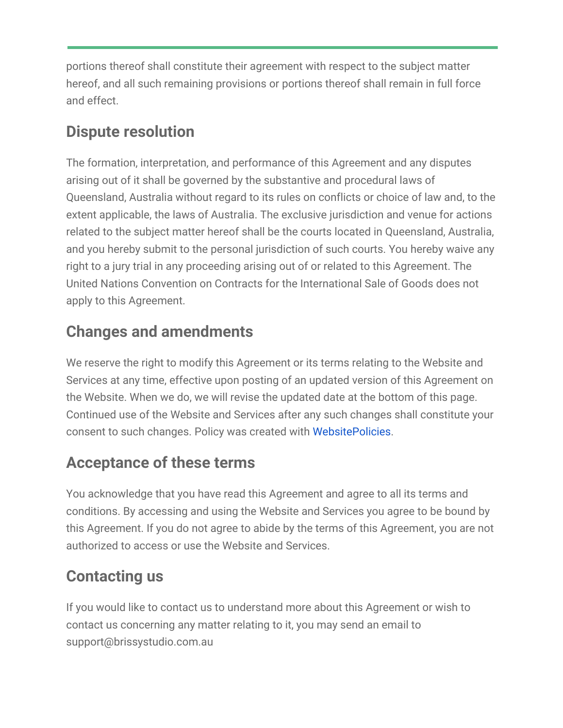portions thereof shall constitute their agreement with respect to the subject matter hereof, and all such remaining provisions or portions thereof shall remain in full force and effect.

### **Dispute resolution**

The formation, interpretation, and performance of this Agreement and any disputes arising out of it shall be governed by the substantive and procedural laws of Queensland, Australia without regard to its rules on conflicts or choice of law and, to the extent applicable, the laws of Australia. The exclusive jurisdiction and venue for actions related to the subject matter hereof shall be the courts located in Queensland, Australia, and you hereby submit to the personal jurisdiction of such courts. You hereby waive any right to a jury trial in any proceeding arising out of or related to this Agreement. The United Nations Convention on Contracts for the International Sale of Goods does not apply to this Agreement.

## **Changes and amendments**

We reserve the right to modify this Agreement or its terms relating to the Website and Services at any time, effective upon posting of an updated version of this Agreement on the Website. When we do, we will revise the updated date at the bottom of this page. Continued use of the Website and Services after any such changes shall constitute your consent to such changes. Policy was created with [WebsitePolicies](https://www.websitepolicies.com/blog/sample-terms-conditions-template).

## **Acceptance of these terms**

You acknowledge that you have read this Agreement and agree to all its terms and conditions. By accessing and using the Website and Services you agree to be bound by this Agreement. If you do not agree to abide by the terms of this Agreement, you are not authorized to access or use the Website and Services.

## **Contacting us**

If you would like to contact us to understand more about this Agreement or wish to contact us concerning any matter relating to it, you may send an email to support@brissystudio.com.au